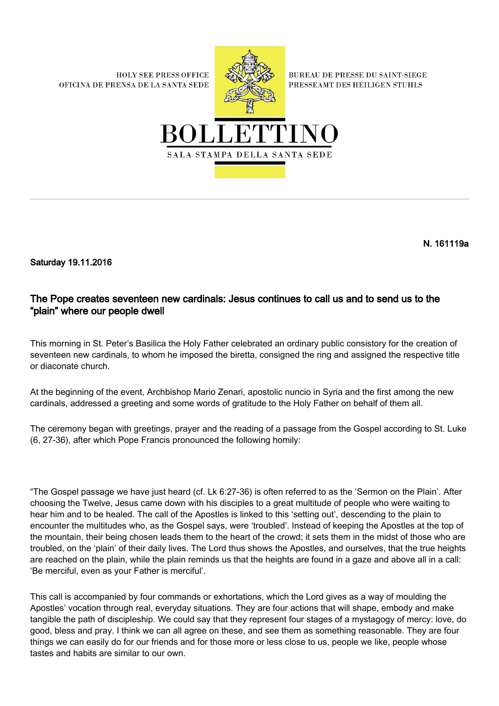**HOLY SEE PRESS OFFICE** OFICINA DE PRENSA DE LA SANTA SEDE



**BUREAU DE PRESSE DU SAINT-SIEGE** PRESSEAMT DES HEILIGEN STUHLS



N. 161119a

Saturday 19.11.2016

## The Pope creates seventeen new cardinals: Jesus continues to call us and to send us to the "plain" where our people dwell

This morning in St. Peter's Basilica the Holy Father celebrated an ordinary public consistory for the creation of seventeen new cardinals, to whom he imposed the biretta, consigned the ring and assigned the respective title or diaconate church.

At the beginning of the event, Archbishop Mario Zenari, apostolic nuncio in Syria and the first among the new cardinals, addressed a greeting and some words of gratitude to the Holy Father on behalf of them all.

The ceremony began with greetings, prayer and the reading of a passage from the Gospel according to St. Luke (6, 27-36), after which Pope Francis pronounced the following homily:

"The Gospel passage we have just heard (cf. Lk 6:27-36) is often referred to as the 'Sermon on the Plain'. After choosing the Twelve, Jesus came down with his disciples to a great multitude of people who were waiting to hear him and to be healed. The call of the Apostles is linked to this 'setting out', descending to the plain to encounter the multitudes who, as the Gospel says, were 'troubled'. Instead of keeping the Apostles at the top of the mountain, their being chosen leads them to the heart of the crowd; it sets them in the midst of those who are troubled, on the 'plain' of their daily lives. The Lord thus shows the Apostles, and ourselves, that the true heights are reached on the plain, while the plain reminds us that the heights are found in a gaze and above all in a call: 'Be merciful, even as your Father is merciful'.

This call is accompanied by four commands or exhortations, which the Lord gives as a way of moulding the Apostles' vocation through real, everyday situations. They are four actions that will shape, embody and make tangible the path of discipleship. We could say that they represent four stages of a mystagogy of mercy: love, do good, bless and pray. I think we can all agree on these, and see them as something reasonable. They are four things we can easily do for our friends and for those more or less close to us, people we like, people whose tastes and habits are similar to our own.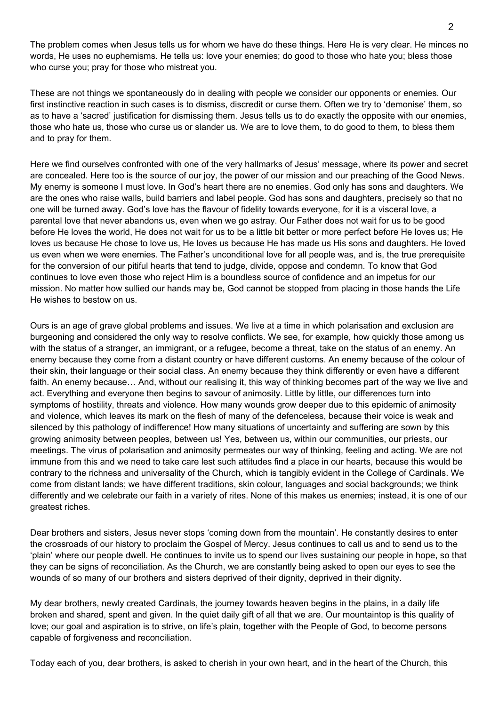The problem comes when Jesus tells us for whom we have do these things. Here He is very clear. He minces no words, He uses no euphemisms. He tells us: love your enemies; do good to those who hate you; bless those who curse you; pray for those who mistreat you.

These are not things we spontaneously do in dealing with people we consider our opponents or enemies. Our first instinctive reaction in such cases is to dismiss, discredit or curse them. Often we try to 'demonise' them, so as to have a 'sacred' justification for dismissing them. Jesus tells us to do exactly the opposite with our enemies, those who hate us, those who curse us or slander us. We are to love them, to do good to them, to bless them and to pray for them.

Here we find ourselves confronted with one of the very hallmarks of Jesus' message, where its power and secret are concealed. Here too is the source of our joy, the power of our mission and our preaching of the Good News. My enemy is someone I must love. In God's heart there are no enemies. God only has sons and daughters. We are the ones who raise walls, build barriers and label people. God has sons and daughters, precisely so that no one will be turned away. God's love has the flavour of fidelity towards everyone, for it is a visceral love, a parental love that never abandons us, even when we go astray. Our Father does not wait for us to be good before He loves the world, He does not wait for us to be a little bit better or more perfect before He loves us; He loves us because He chose to love us, He loves us because He has made us His sons and daughters. He loved us even when we were enemies. The Father's unconditional love for all people was, and is, the true prerequisite for the conversion of our pitiful hearts that tend to judge, divide, oppose and condemn. To know that God continues to love even those who reject Him is a boundless source of confidence and an impetus for our mission. No matter how sullied our hands may be, God cannot be stopped from placing in those hands the Life He wishes to bestow on us.

Ours is an age of grave global problems and issues. We live at a time in which polarisation and exclusion are burgeoning and considered the only way to resolve conflicts. We see, for example, how quickly those among us with the status of a stranger, an immigrant, or a refugee, become a threat, take on the status of an enemy. An enemy because they come from a distant country or have different customs. An enemy because of the colour of their skin, their language or their social class. An enemy because they think differently or even have a different faith. An enemy because… And, without our realising it, this way of thinking becomes part of the way we live and act. Everything and everyone then begins to savour of animosity. Little by little, our differences turn into symptoms of hostility, threats and violence. How many wounds grow deeper due to this epidemic of animosity and violence, which leaves its mark on the flesh of many of the defenceless, because their voice is weak and silenced by this pathology of indifference! How many situations of uncertainty and suffering are sown by this growing animosity between peoples, between us! Yes, between us, within our communities, our priests, our meetings. The virus of polarisation and animosity permeates our way of thinking, feeling and acting. We are not immune from this and we need to take care lest such attitudes find a place in our hearts, because this would be contrary to the richness and universality of the Church, which is tangibly evident in the College of Cardinals. We come from distant lands; we have different traditions, skin colour, languages and social backgrounds; we think differently and we celebrate our faith in a variety of rites. None of this makes us enemies; instead, it is one of our greatest riches.

Dear brothers and sisters, Jesus never stops 'coming down from the mountain'. He constantly desires to enter the crossroads of our history to proclaim the Gospel of Mercy. Jesus continues to call us and to send us to the 'plain' where our people dwell. He continues to invite us to spend our lives sustaining our people in hope, so that they can be signs of reconciliation. As the Church, we are constantly being asked to open our eyes to see the wounds of so many of our brothers and sisters deprived of their dignity, deprived in their dignity.

My dear brothers, newly created Cardinals, the journey towards heaven begins in the plains, in a daily life broken and shared, spent and given. In the quiet daily gift of all that we are. Our mountaintop is this quality of love; our goal and aspiration is to strive, on life's plain, together with the People of God, to become persons capable of forgiveness and reconciliation.

Today each of you, dear brothers, is asked to cherish in your own heart, and in the heart of the Church, this